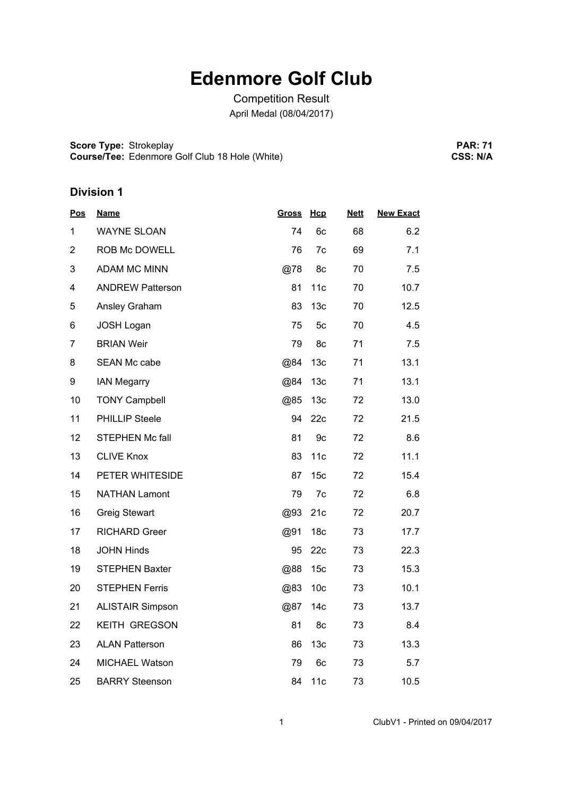# **Edenmore Golf Club**

Competition Result April Medal (08/04/2017)

**Score Type: Course/Tee:** Strokeplay Edenmore Golf Club 18 Hole (White)

**PAR: 71 CSS: N/A**

| <b>Pos</b>     | <b>Name</b>             | <b>Gross</b> | Hcp             | <b>Nett</b> | <b>New Exact</b> |
|----------------|-------------------------|--------------|-----------------|-------------|------------------|
| 1              | <b>WAYNE SLOAN</b>      | 74           | 6c              | 68          | 6.2              |
| $\overline{2}$ | ROB Mc DOWELL           | 76           | 7c              | 69          | 7.1              |
| 3              | <b>ADAM MC MINN</b>     | @78          | 8c              | 70          | 7.5              |
| 4              | <b>ANDREW Patterson</b> | 81           | 11c             | 70          | 10.7             |
| 5              | Ansley Graham           | 83           | 13 <sub>c</sub> | 70          | 12.5             |
| 6              | JOSH Logan              | 75           | 5c              | 70          | 4.5              |
| $\overline{7}$ | <b>BRIAN Weir</b>       | 79           | 8c              | 71          | 7.5              |
| 8              | SEAN Mc cabe            | @84          | 13 <sub>c</sub> | 71          | 13.1             |
| 9              | <b>IAN Megarry</b>      | @84          | 13 <sub>c</sub> | 71          | 13.1             |
| 10             | <b>TONY Campbell</b>    | @85          | 13 <sub>c</sub> | 72          | 13.0             |
| 11             | PHILLIP Steele          | 94           | 22c             | 72          | 21.5             |
| 12             | <b>STEPHEN Mc fall</b>  | 81           | 9c              | 72          | 8.6              |
| 13             | <b>CLIVE Knox</b>       | 83           | 11c             | 72          | 11.1             |
| 14             | PETER WHITESIDE         | 87           | 15 <sub>c</sub> | 72          | 15.4             |
| 15             | <b>NATHAN Lamont</b>    | 79           | 7c              | 72          | 6.8              |
| 16             | <b>Greig Stewart</b>    | @93          | 21c             | 72          | 20.7             |
| 17             | <b>RICHARD Greer</b>    | @91          | 18 <sub>c</sub> | 73          | 17.7             |
| 18             | <b>JOHN Hinds</b>       | 95           | 22c             | 73          | 22.3             |
| 19             | <b>STEPHEN Baxter</b>   | @88          | 15 <sub>c</sub> | 73          | 15.3             |
| 20             | <b>STEPHEN Ferris</b>   | @83          | 10 <sub>c</sub> | 73          | 10.1             |
| 21             | <b>ALISTAIR Simpson</b> | @87          | 14 <sub>c</sub> | 73          | 13.7             |
| 22             | <b>KEITH GREGSON</b>    | 81           | 8c              | 73          | 8.4              |
| 23             | <b>ALAN Patterson</b>   | 86           | 13 <sub>c</sub> | 73          | 13.3             |
| 24             | <b>MICHAEL Watson</b>   | 79           | 6c              | 73          | 5.7              |
| 25             | <b>BARRY Steenson</b>   | 84           | 11c             | 73          | 10.5             |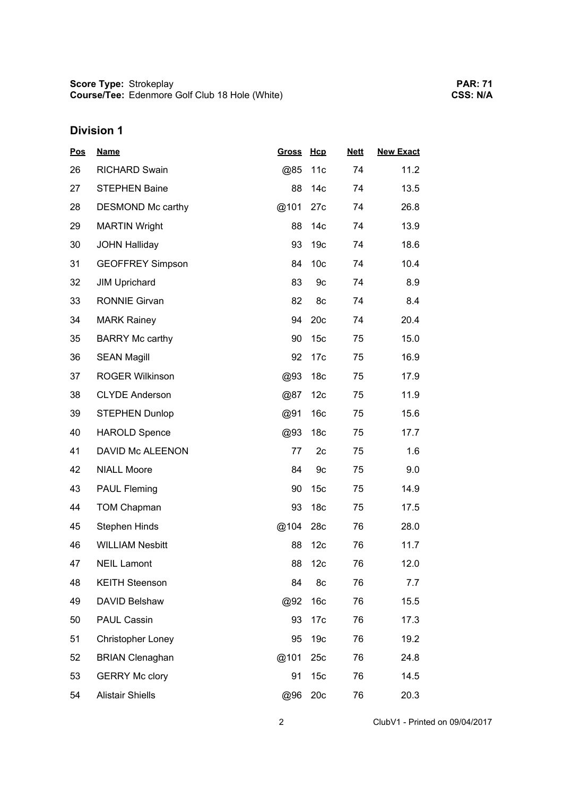| <b>Pos</b> | <b>Name</b>              | <b>Gross</b> | Hcp             | <b>Nett</b> | <b>New Exact</b> |
|------------|--------------------------|--------------|-----------------|-------------|------------------|
| 26         | <b>RICHARD Swain</b>     | @85          | 11c             | 74          | 11.2             |
| 27         | <b>STEPHEN Baine</b>     | 88           | 14 <sub>c</sub> | 74          | 13.5             |
| 28         | DESMOND Mc carthy        | @101         | 27c             | 74          | 26.8             |
| 29         | <b>MARTIN Wright</b>     | 88           | 14 <sub>c</sub> | 74          | 13.9             |
| 30         | <b>JOHN Halliday</b>     | 93           | 19 <sub>c</sub> | 74          | 18.6             |
| 31         | <b>GEOFFREY Simpson</b>  | 84           | 10 <sub>c</sub> | 74          | 10.4             |
| 32         | <b>JIM Uprichard</b>     | 83           | 9c              | 74          | 8.9              |
| 33         | <b>RONNIE Girvan</b>     | 82           | 8c              | 74          | 8.4              |
| 34         | <b>MARK Rainey</b>       | 94           | 20c             | 74          | 20.4             |
| 35         | <b>BARRY Mc carthy</b>   | 90           | 15 <sub>c</sub> | 75          | 15.0             |
| 36         | <b>SEAN Magill</b>       | 92           | 17 <sub>c</sub> | 75          | 16.9             |
| 37         | <b>ROGER Wilkinson</b>   | @93          | 18 <sub>c</sub> | 75          | 17.9             |
| 38         | <b>CLYDE Anderson</b>    | @87          | 12 <sub>c</sub> | 75          | 11.9             |
| 39         | <b>STEPHEN Dunlop</b>    | @91          | 16 <sub>c</sub> | 75          | 15.6             |
| 40         | <b>HAROLD Spence</b>     | @93          | 18 <sub>c</sub> | 75          | 17.7             |
| 41         | DAVID Mc ALEENON         | 77           | 2c              | 75          | 1.6              |
| 42         | <b>NIALL Moore</b>       | 84           | 9c              | 75          | 9.0              |
| 43         | <b>PAUL Fleming</b>      | 90           | 15 <sub>c</sub> | 75          | 14.9             |
| 44         | <b>TOM Chapman</b>       | 93           | 18 <sub>c</sub> | 75          | 17.5             |
| 45         | <b>Stephen Hinds</b>     | @104         | 28c             | 76          | 28.0             |
| 46         | <b>WILLIAM Nesbitt</b>   | 88           | 12c             | 76          | 11.7             |
| 47         | <b>NEIL Lamont</b>       | 88           | 12c             | 76          | 12.0             |
| 48         | <b>KEITH Steenson</b>    | 84           | 8c              | 76          | 7.7              |
| 49         | DAVID Belshaw            | @92          | 16 <sub>c</sub> | 76          | 15.5             |
| 50         | PAUL Cassin              | 93           | 17 <sub>c</sub> | 76          | 17.3             |
| 51         | <b>Christopher Loney</b> | 95           | 19 <sub>c</sub> | 76          | 19.2             |
| 52         | <b>BRIAN Clenaghan</b>   | @101         | 25c             | 76          | 24.8             |
| 53         | <b>GERRY Mc clory</b>    | 91           | 15 <sub>c</sub> | 76          | 14.5             |
| 54         | <b>Alistair Shiells</b>  | @96          | 20c             | 76          | 20.3             |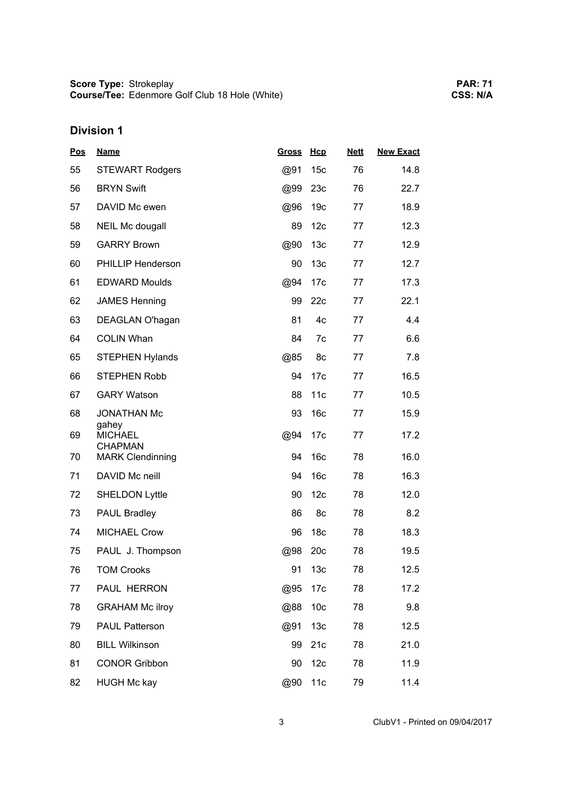| <b>Pos</b> | <b>Name</b>                               | <b>Gross</b> | Hcp             | <b>Nett</b> | <b>New Exact</b> |  |
|------------|-------------------------------------------|--------------|-----------------|-------------|------------------|--|
| 55         | <b>STEWART Rodgers</b>                    | @91          | 15 <sub>c</sub> | 76          | 14.8             |  |
| 56         | <b>BRYN Swift</b>                         | @99          | 23c             | 76          | 22.7             |  |
| 57         | DAVID Mc ewen                             | @96          | 19 <sub>c</sub> | 77          | 18.9             |  |
| 58         | <b>NEIL Mc dougall</b>                    | 89           | 12 <sub>c</sub> | 77          | 12.3             |  |
| 59         | <b>GARRY Brown</b>                        | @90          | 13 <sub>c</sub> | 77          | 12.9             |  |
| 60         | PHILLIP Henderson                         | 90           | 13 <sub>c</sub> | 77          | 12.7             |  |
| 61         | <b>EDWARD Moulds</b>                      | @94          | 17 <sub>c</sub> | 77          | 17.3             |  |
| 62         | <b>JAMES Henning</b>                      | 99           | 22c             | 77          | 22.1             |  |
| 63         | DEAGLAN O'hagan                           | 81           | 4c              | 77          | 4.4              |  |
| 64         | <b>COLIN Whan</b>                         | 84           | 7c              | 77          | 6.6              |  |
| 65         | <b>STEPHEN Hylands</b>                    | @85          | 8c              | 77          | 7.8              |  |
| 66         | <b>STEPHEN Robb</b>                       | 94           | 17 <sub>c</sub> | 77          | 16.5             |  |
| 67         | <b>GARY Watson</b>                        | 88           | 11c             | 77          | 10.5             |  |
| 68         | <b>JONATHAN Mc</b>                        | 93           | 16 <sub>c</sub> | 77          | 15.9             |  |
| 69         | gahey<br><b>MICHAEL</b>                   | @94          | 17 <sub>c</sub> | 77          | 17.2             |  |
| 70         | <b>CHAPMAN</b><br><b>MARK Clendinning</b> | 94           | 16 <sub>c</sub> | 78          | 16.0             |  |
| 71         | DAVID Mc neill                            | 94           | 16 <sub>c</sub> | 78          | 16.3             |  |
| 72         | <b>SHELDON Lyttle</b>                     | 90           | 12 <sub>c</sub> | 78          | 12.0             |  |
| 73         | <b>PAUL Bradley</b>                       | 86           | 8c              | 78          | 8.2              |  |
| 74         | <b>MICHAEL Crow</b>                       | 96           | 18 <sub>c</sub> | 78          | 18.3             |  |
| 75         | PAUL J. Thompson                          | @98          | 20c             | 78          | 19.5             |  |
| 76         | <b>TOM Crooks</b>                         | 91           | 13 <sub>c</sub> | 78          | 12.5             |  |
| 77         | PAUL HERRON                               | @95          | 17 <sub>c</sub> | 78          | 17.2             |  |
| 78         | <b>GRAHAM Mc ilroy</b>                    | @88          | 10 <sub>c</sub> | 78          | 9.8              |  |
| 79         | <b>PAUL Patterson</b>                     | @91          | 13 <sub>c</sub> | 78          | 12.5             |  |
| 80         | <b>BILL Wilkinson</b>                     | 99           | 21c             | 78          | 21.0             |  |
| 81         | <b>CONOR Gribbon</b>                      | 90           | 12 <sub>c</sub> | 78          | 11.9             |  |
| 82         | <b>HUGH Mc kay</b>                        | @90          | 11c             | 79          | 11.4             |  |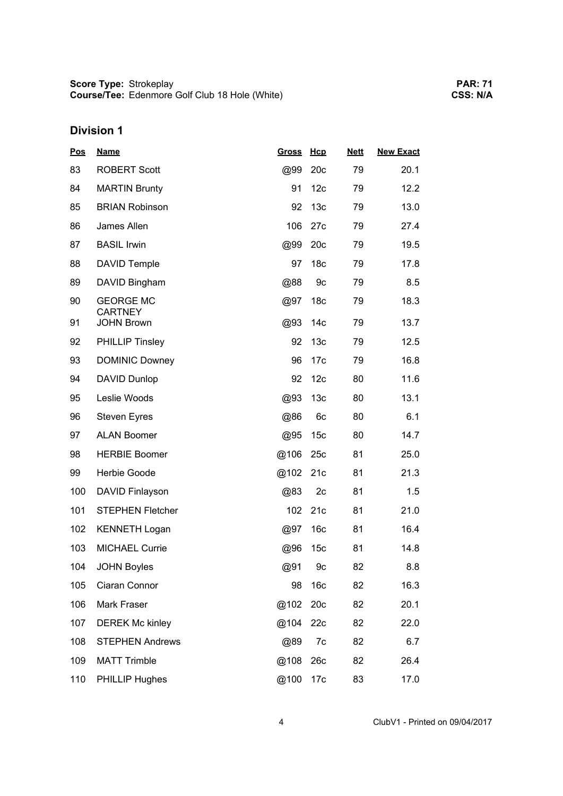| <b>Pos</b> | <b>Name</b>                        | <b>Gross</b> | Hcp             | <b>Nett</b> | <b>New Exact</b> |
|------------|------------------------------------|--------------|-----------------|-------------|------------------|
| 83         | <b>ROBERT Scott</b>                | @99          | 20c             | 79          | 20.1             |
| 84         | <b>MARTIN Brunty</b>               | 91           | 12 <sub>c</sub> | 79          | 12.2             |
| 85         | <b>BRIAN Robinson</b>              | 92           | 13 <sub>c</sub> | 79          | 13.0             |
| 86         | James Allen                        | 106          | 27c             | 79          | 27.4             |
| 87         | <b>BASIL Irwin</b>                 | @99          | 20c             | 79          | 19.5             |
| 88         | <b>DAVID Temple</b>                | 97           | 18 <sub>c</sub> | 79          | 17.8             |
| 89         | DAVID Bingham                      | @88          | 9c              | 79          | 8.5              |
| 90         | <b>GEORGE MC</b><br><b>CARTNEY</b> | @97          | 18 <sub>c</sub> | 79          | 18.3             |
| 91         | <b>JOHN Brown</b>                  | @93          | 14 <sub>c</sub> | 79          | 13.7             |
| 92         | <b>PHILLIP Tinsley</b>             | 92           | 13 <sub>c</sub> | 79          | 12.5             |
| 93         | <b>DOMINIC Downey</b>              | 96           | 17 <sub>c</sub> | 79          | 16.8             |
| 94         | <b>DAVID Dunlop</b>                | 92           | 12 <sub>c</sub> | 80          | 11.6             |
| 95         | Leslie Woods                       | @93          | 13 <sub>c</sub> | 80          | 13.1             |
| 96         | <b>Steven Eyres</b>                | @86          | 6c              | 80          | 6.1              |
| 97         | <b>ALAN Boomer</b>                 | @95          | 15 <sub>c</sub> | 80          | 14.7             |
| 98         | <b>HERBIE Boomer</b>               | @106         | 25c             | 81          | 25.0             |
| 99         | Herbie Goode                       | @102         | 21c             | 81          | 21.3             |
| 100        | DAVID Finlayson                    | @83          | 2c              | 81          | 1.5              |
| 101        | <b>STEPHEN Fletcher</b>            | 102          | 21c             | 81          | 21.0             |
| 102        | <b>KENNETH Logan</b>               | @97          | 16c             | 81          | 16.4             |
| 103        | <b>MICHAEL Currie</b>              | @96          | 15 <sub>c</sub> | 81          | 14.8             |
| 104        | <b>JOHN Boyles</b>                 | @91          | 9c              | 82          | 8.8              |
| 105        | Ciaran Connor                      | 98           | 16 <sub>c</sub> | 82          | 16.3             |
| 106        | Mark Fraser                        | @102         | 20c             | 82          | 20.1             |
| 107        | <b>DEREK Mc kinley</b>             | @104         | 22c             | 82          | 22.0             |
| 108        | <b>STEPHEN Andrews</b>             | @89          | 7c              | 82          | 6.7              |
| 109        | <b>MATT Trimble</b>                | @108         | 26c             | 82          | 26.4             |
| 110        | PHILLIP Hughes                     | @100         | 17 <sub>c</sub> | 83          | 17.0             |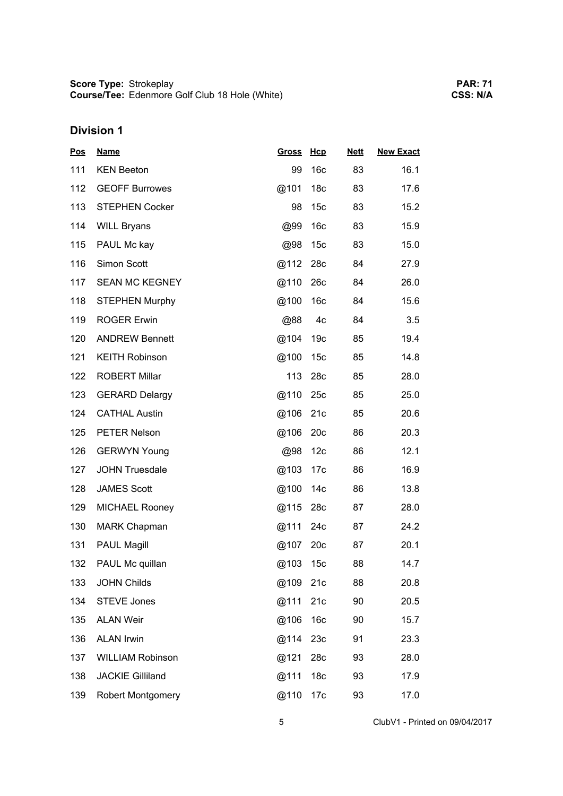| <b>Pos</b> | <b>Name</b>              | <b>Gross</b> | Hcp             | <b>Nett</b> | <b>New Exact</b> |
|------------|--------------------------|--------------|-----------------|-------------|------------------|
| 111        | <b>KEN Beeton</b>        | 99           | 16 <sub>c</sub> | 83          | 16.1             |
| 112        | <b>GEOFF Burrowes</b>    | @101         | 18 <sub>c</sub> | 83          | 17.6             |
| 113        | <b>STEPHEN Cocker</b>    | 98           | 15 <sub>c</sub> | 83          | 15.2             |
| 114        | <b>WILL Bryans</b>       | @99          | 16 <sub>c</sub> | 83          | 15.9             |
| 115        | PAUL Mc kay              | @98          | 15 <sub>c</sub> | 83          | 15.0             |
| 116        | Simon Scott              | @112         | 28c             | 84          | 27.9             |
| 117        | <b>SEAN MC KEGNEY</b>    | @110         | 26c             | 84          | 26.0             |
| 118        | <b>STEPHEN Murphy</b>    | @100         | 16 <sub>c</sub> | 84          | 15.6             |
| 119        | <b>ROGER Erwin</b>       | @88          | 4c              | 84          | 3.5              |
| 120        | <b>ANDREW Bennett</b>    | @104         | 19 <sub>c</sub> | 85          | 19.4             |
| 121        | <b>KEITH Robinson</b>    | @100         | 15 <sub>c</sub> | 85          | 14.8             |
| 122        | <b>ROBERT Millar</b>     | 113          | 28c             | 85          | 28.0             |
| 123        | <b>GERARD Delargy</b>    | @110         | 25c             | 85          | 25.0             |
| 124        | <b>CATHAL Austin</b>     | @106         | 21c             | 85          | 20.6             |
| 125        | <b>PETER Nelson</b>      | @106         | 20c             | 86          | 20.3             |
| 126        | <b>GERWYN Young</b>      | @98          | 12 <sub>c</sub> | 86          | 12.1             |
| 127        | <b>JOHN Truesdale</b>    | @103         | 17 <sub>c</sub> | 86          | 16.9             |
| 128        | <b>JAMES Scott</b>       | @100         | 14c             | 86          | 13.8             |
| 129        | <b>MICHAEL Rooney</b>    | @115         | 28c             | 87          | 28.0             |
| 130        | <b>MARK Chapman</b>      | @111         | 24c             | 87          | 24.2             |
| 131        | <b>PAUL Magill</b>       | @107         | 20c             | 87          | 20.1             |
| 132        | PAUL Mc quillan          | @103         | 15 <sub>c</sub> | 88          | 14.7             |
| 133        | <b>JOHN Childs</b>       | @109         | 21c             | 88          | 20.8             |
| 134        | <b>STEVE Jones</b>       | @111         | 21c             | 90          | 20.5             |
| 135        | <b>ALAN Weir</b>         | @106         | 16 <sub>c</sub> | 90          | 15.7             |
| 136        | <b>ALAN Irwin</b>        | @114         | 23c             | 91          | 23.3             |
| 137        | <b>WILLIAM Robinson</b>  | @121         | 28c             | 93          | 28.0             |
| 138        | <b>JACKIE Gilliland</b>  | @111         | 18 <sub>c</sub> | 93          | 17.9             |
| 139        | <b>Robert Montgomery</b> | @110         | 17 <sub>c</sub> | 93          | 17.0             |